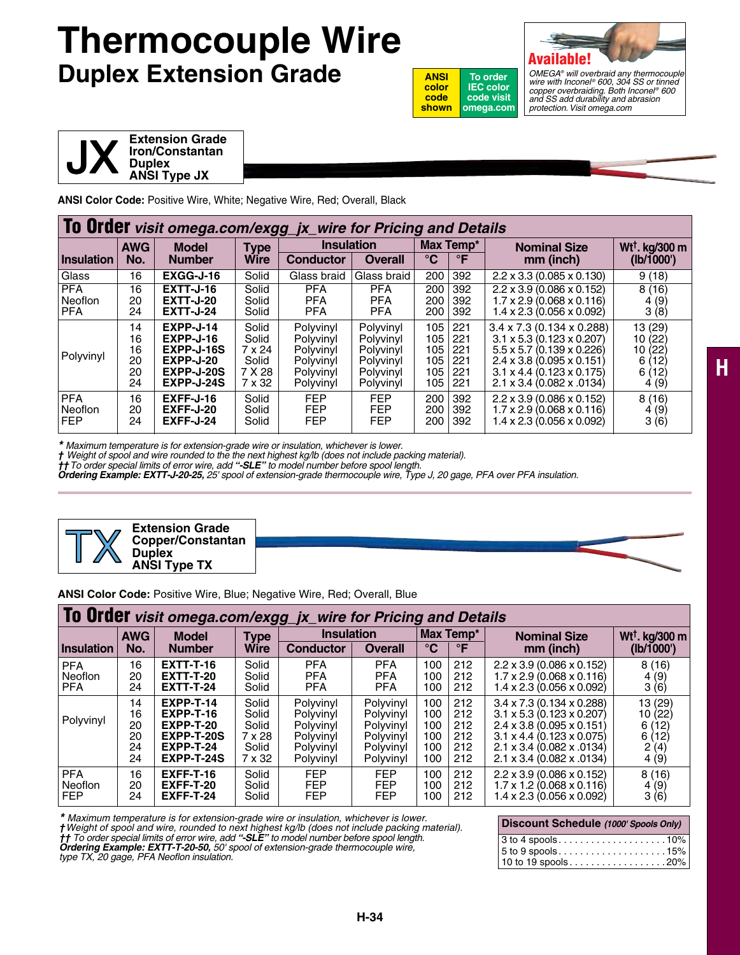## **Thermocouple Wire Duplex Extension Grade**





*OMEGA® will overbraid any thermocouple wire with Inconel ® 600, 304 SS or tinned copper overbraiding. Both Inconel ® 600 and SS add durability and abrasion protection. Visit omega.com*



**ANSI Color Code:** Positive Wire, White; Negative Wire, Red; Overall, Black

|                                            | To Order visit omega.com/exgg_jx_wire for Pricing and Details |                                                                                 |                                                       |                                                                            |                                                                            |                                        |                                        |                                                                                                                                                                                                                                                  |                                                                         |  |  |
|--------------------------------------------|---------------------------------------------------------------|---------------------------------------------------------------------------------|-------------------------------------------------------|----------------------------------------------------------------------------|----------------------------------------------------------------------------|----------------------------------------|----------------------------------------|--------------------------------------------------------------------------------------------------------------------------------------------------------------------------------------------------------------------------------------------------|-------------------------------------------------------------------------|--|--|
|                                            | <b>AWG</b>                                                    | <b>Model</b>                                                                    | <b>Type</b>                                           | <b>Insulation</b>                                                          | Max Temp*                                                                  |                                        | <b>Nominal Size</b>                    | Wt <sup>t</sup> . kg/300 m                                                                                                                                                                                                                       |                                                                         |  |  |
| <b>Insulation</b>                          | No.                                                           | <b>Number</b>                                                                   | <b>Wire</b>                                           | <b>Conductor</b>                                                           | <b>Overall</b>                                                             | $^{\circ}$ C                           | $\mathsf{P}$                           | mm (inch)                                                                                                                                                                                                                                        | (Ib/1000')                                                              |  |  |
| Glass                                      | 16                                                            | EXGG-J-16                                                                       | Solid                                                 | Glass braid                                                                | Glass braid                                                                | 200                                    | 392                                    | $2.2 \times 3.3$ (0.085 x 0.130)                                                                                                                                                                                                                 | 9(18)                                                                   |  |  |
| <b>PFA</b><br><b>Neoflon</b><br><b>PFA</b> | 16<br>20<br>24                                                | <b>EXTT-J-16</b><br><b>EXTT-J-20</b><br><b>EXTT-J-24</b>                        | Solid<br>Solid<br>Solid                               | <b>PFA</b><br><b>PFA</b><br><b>PFA</b>                                     | <b>PFA</b><br><b>PFA</b><br><b>PFA</b>                                     | 200<br>200<br>200                      | 392<br>392<br>392                      | $2.2 \times 3.9$ (0.086 $\times$ 0.152)<br>$1.7 \times 2.9$ (0.068 $\times$ 0.116)<br>$1.4 \times 2.3$ (0.056 x 0.092)                                                                                                                           | 8(16)<br>4(9)<br>3(8)                                                   |  |  |
| Polyvinyl                                  | 14<br>16<br>16<br>20<br>20<br>24                              | EXPP-J-14<br>$EXPP-J-16$<br>EXPP-J-16S<br>EXPP-J-20<br>EXPP-J-20S<br>EXPP-J-24S | Solid<br>Solid<br>7 x 24<br>Solid<br>7 X 28<br>7 x 32 | Polyvinyl<br>Polyvinyl<br>Polyvinyl<br>Polyvinyl<br>Polyvinyl<br>Polyvinyl | Polvvinvl<br>Polyvinyl<br>Polyvinyl<br>Polyvinyl<br>Polyvinyl<br>Polyvinyl | 105<br>105<br>105<br>105<br>105<br>105 | 221<br>221<br>221<br>221<br>221<br>221 | $3.4 \times 7.3$ (0.134 $\times$ 0.288)<br>$3.1 \times 5.3$ (0.123 x 0.207)<br>$5.5 \times 5.7$ (0.139 $\times$ 0.226)<br>$2.4 \times 3.8$ (0.095 $\times$ 0.151)<br>$3.1 \times 4.4$ (0.123 $\times$ 0.175)<br>$2.1 \times 3.4$ (0.082 x .0134) | (29)<br>13.<br>(22)<br>10<br>10<br>(22)<br>12)<br>6<br>6<br>12)<br>4(9) |  |  |
| <b>PFA</b><br>Neoflon<br><b>FEP</b>        | 16<br>20<br>24                                                | <b>EXFF-J-16</b><br><b>EXFF-J-20</b><br><b>EXFF-J-24</b>                        | Solid<br>Solid<br>Solid                               | <b>FEP</b><br><b>FEP</b><br><b>FEP</b>                                     | <b>FEP</b><br><b>FEP</b><br><b>FEP</b>                                     | 200<br>200<br>200                      | 392<br>392<br>392                      | $2.2 \times 3.9$ (0.086 $\times$ 0.152)<br>$1.7 \times 2.9$ (0.068 $\times$ 0.116)<br>$1.4 \times 2.3$ (0.056 $\times$ 0.092)                                                                                                                    | (16)<br>8<br>4(9)<br>3(6)                                               |  |  |

*\* Maximum temperature is for extension-grade wire or insulation, whichever is lower.*

*† Weight of spool and wire rounded to the the next highest kg/lb (does not include packing material).* 

**††** To order special limits of error wire, add "**-SLE**" to model number before spool length.<br>**Ordering Example: EXTT-J-20-25,** 25' spool of extension-grade thermocouple wire, Type J, 20 gage, PFA over PFA insulation.





**ANSI Color Code:** Positive Wire, Blue; Negative Wire, Red; Overall, Blue

|                                     | To Order visit omega.com/exgg_jx_wire for Pricing and Details |                                                                                                          |                                                      |                                                                            |                                                                            |                                        |                                        |                                                                                                                                                                                                                                    |                                                         |  |  |
|-------------------------------------|---------------------------------------------------------------|----------------------------------------------------------------------------------------------------------|------------------------------------------------------|----------------------------------------------------------------------------|----------------------------------------------------------------------------|----------------------------------------|----------------------------------------|------------------------------------------------------------------------------------------------------------------------------------------------------------------------------------------------------------------------------------|---------------------------------------------------------|--|--|
|                                     | <b>AWG</b>                                                    | <b>Model</b>                                                                                             | Type                                                 | <b>Insulation</b>                                                          | Max Temp*                                                                  |                                        | <b>Nominal Size</b>                    | Wt <sup>+</sup> . kg/300 m                                                                                                                                                                                                         |                                                         |  |  |
| Insulation                          | No.                                                           | <b>Number</b>                                                                                            | <b>Wire</b>                                          | <b>Conductor</b>                                                           | <b>Overall</b>                                                             | $^{\circ}$ C                           | $\mathsf{P}$                           | mm (inch)                                                                                                                                                                                                                          | (Ib/1000')                                              |  |  |
| <b>PFA</b><br>Neoflon<br><b>PFA</b> | 16<br>20<br>24                                                | <b>EXTT-T-16</b><br><b>EXTT-T-20</b><br><b>EXTT-T-24</b>                                                 | Solid<br>Solid<br>Solid                              | <b>PFA</b><br><b>PFA</b><br><b>PFA</b>                                     | <b>PFA</b><br><b>PFA</b><br><b>PFA</b>                                     | 100<br>100<br>100                      | 212<br>212<br>212                      | $2.2 \times 3.9$ (0.086 $\times$ 0.152)<br>$1.7 \times 2.9$ (0.068 $\times$ 0.116)<br>$1.4 \times 2.3$ (0.056 $\times$ 0.092)                                                                                                      | 8(16)<br>4(9)<br>3(6)                                   |  |  |
| Polyvinyl                           | 14<br>16<br>20<br>20<br>24<br>24                              | <b>EXPP-T-14</b><br><b>EXPP-T-16</b><br><b>EXPP-T-20</b><br>EXPP-T-20S<br><b>EXPP-T-24</b><br>EXPP-T-24S | Solid<br>Solid<br>Solid<br>7 x 28<br>Solid<br>7 x 32 | Polyvinyl<br>Polyvinyl<br>Polyvinyl<br>Polyvinyl<br>Polyvinyl<br>Polyvinyl | Polyvinyl<br>Polyvinyl<br>Polyvinyl<br>Polyvinyl<br>Polyvinyl<br>Polyvinyl | 100<br>100<br>100<br>100<br>100<br>100 | 212<br>212<br>212<br>212<br>212<br>212 | $3.4 \times 7.3$ (0.134 $\times$ 0.288)<br>$3.1 \times 5.3$ (0.123 $\times$ 0.207)<br>$2.4 \times 3.8$ (0.095 $\times$ 0.151)<br>$3.1 \times 4.4$ (0.123 $\times$ 0.075)<br>2.1 x 3.4 (0.082 x .0134)<br>2.1 x 3.4 (0.082 x .0134) | 13 (29)<br>10(22)<br>(12)<br>6<br>6(12)<br>2(4)<br>4(9) |  |  |
| <b>PFA</b><br>Neoflon<br>l FEP      | 16<br>20<br>24                                                | <b>EXFF-T-16</b><br><b>EXFF-T-20</b><br><b>EXFF-T-24</b>                                                 | Solid<br>Solid<br>Solid                              | <b>FEP</b><br><b>FEP</b><br><b>FEP</b>                                     | <b>FEP</b><br><b>FEP</b><br><b>FEP</b>                                     | 100<br>100<br>100                      | 212<br>212<br>212                      | $2.2 \times 3.9$ (0.086 $\times$ 0.152)<br>$1.7 \times 1.2$ (0.068 $\times$ 0.116)<br>$1.4 \times 2.3$ (0.056 $\times$ 0.092)                                                                                                      | 8(16)<br>4(9)<br>3(6)                                   |  |  |

*\* Maximum temperature is for extension-grade wire or insulation, whichever is lower. †Weight of spool and wire, rounded to next highest kg/lb (does not include packing material). †† To order special limits of error wire, add "-SLE" to model number before spool length. Ordering Example: EXTT-T-20-50, 50' spool of extension-grade thermocouple wire,* 

*type TX, 20 gage, PFA Neoflon insulation.*

| Discount Schedule (1000' Spools Only) |
|---------------------------------------|
|                                       |
|                                       |
|                                       |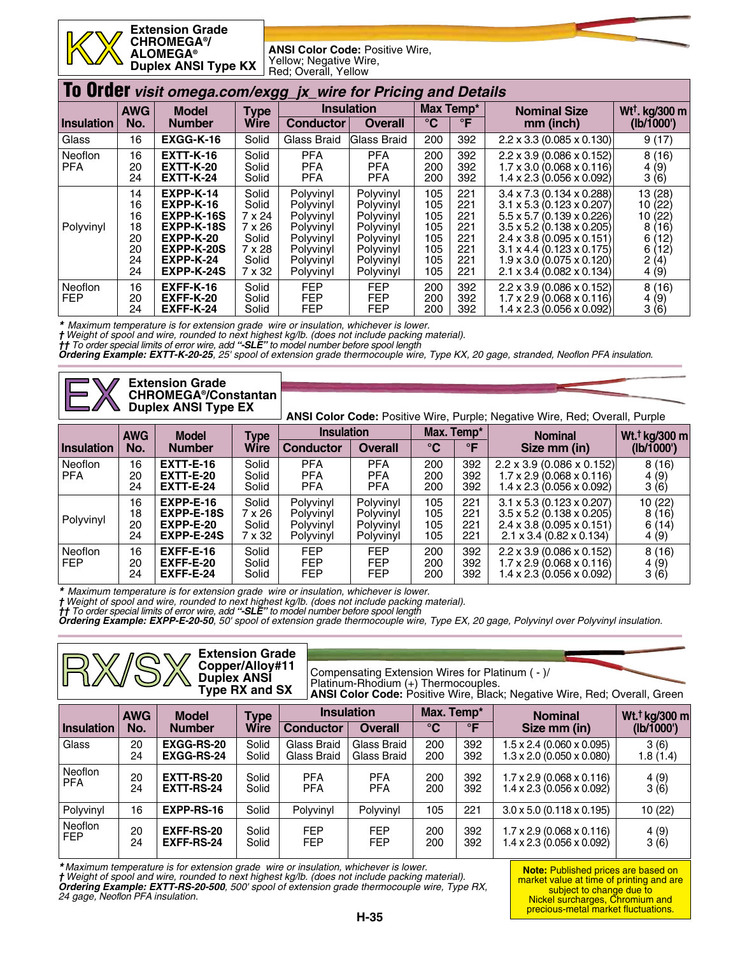**Extension Grade CHROMEGA®/ ALOMEGA® Duplex ANSI Type KX**

**ANSI Color Code:** Positive Wire, Yellow; Negative Wire, Red; Overall, Yellow

|                              | To Order visit omega.com/exgg_jx_wire for Pricing and Details |                                                                                                                     |                                                                          |                                                                                                      |                                                                                                      |                                                      |                                                      |                                                                                                                                                                                                                                                                                                                                                      |                                                                                                      |  |  |
|------------------------------|---------------------------------------------------------------|---------------------------------------------------------------------------------------------------------------------|--------------------------------------------------------------------------|------------------------------------------------------------------------------------------------------|------------------------------------------------------------------------------------------------------|------------------------------------------------------|------------------------------------------------------|------------------------------------------------------------------------------------------------------------------------------------------------------------------------------------------------------------------------------------------------------------------------------------------------------------------------------------------------------|------------------------------------------------------------------------------------------------------|--|--|
|                              | <b>AWG</b>                                                    | <b>Model</b>                                                                                                        | <b>Type</b>                                                              |                                                                                                      | <b>Insulation</b>                                                                                    | Max Temp*                                            |                                                      | <b>Nominal Size</b>                                                                                                                                                                                                                                                                                                                                  | Wt <sup>+</sup> . kg/300 m                                                                           |  |  |
| <b>Insulation</b>            | No.                                                           | <b>Number</b>                                                                                                       | <b>Wire</b>                                                              | <b>Conductor</b>                                                                                     | Overall                                                                                              | $\rm ^{\circ}C$                                      | $\mathsf{P}$                                         | mm (inch)                                                                                                                                                                                                                                                                                                                                            | (Ib/1000')                                                                                           |  |  |
| Glass                        | 16                                                            | EXGG-K-16                                                                                                           | Solid                                                                    | Glass Braid                                                                                          | Glass Braid                                                                                          | 200                                                  | 392                                                  | $2.2 \times 3.3 (0.085 \times 0.130)$                                                                                                                                                                                                                                                                                                                | 9(17)                                                                                                |  |  |
| <b>Neoflon</b><br><b>PFA</b> | 16<br>20<br>24                                                | <b>EXTT-K-16</b><br><b>EXTT-K-20</b><br><b>EXTT-K-24</b>                                                            | Solid<br>Solid<br>Solid                                                  | <b>PFA</b><br><b>PFA</b><br><b>PFA</b>                                                               | <b>PFA</b><br><b>PFA</b><br><b>PFA</b>                                                               | 200<br>200<br>200                                    | 392<br>392<br>392                                    | $2.2 \times 3.9$ (0.086 $\times$ 0.152)<br>$1.7 \times 3.0$ (0.068 $\times$ 0.116)<br>$1.4 \times 2.3$ (0.056 $\times$ 0.092)                                                                                                                                                                                                                        | 8(16)<br>(9)<br>4<br>3(6)                                                                            |  |  |
| Polyvinyl                    | 14<br>16<br>16<br>18<br>20<br>20<br>24<br>24                  | <b>EXPP-K-14</b><br>$EXPP-K-16$<br>EXPP-K-16S<br>EXPP-K-18S<br>$EXPP-K-20$<br>EXPP-K-20S<br>EXPP-K-24<br>EXPP-K-24S | Solid<br>Solid<br>7 x 24<br>7 x 26<br>Solid<br>7 x 28<br>Solid<br>7 x 32 | Polyvinyl<br>Polyvinyl<br>Polyvinyl<br>Polyvinyl<br>Polyvinyl<br>Polyvinyl<br>Polyvinyl<br>Polyvinyl | Polyvinyl<br>Polyvinyl<br>Polyvinyl<br>Polyvinyl<br>Polyvinyl<br>Polyvinyl<br>Polyvinyl<br>Polyvinyl | 105<br>105<br>105<br>105<br>105<br>105<br>105<br>105 | 221<br>221<br>221<br>221<br>221<br>221<br>221<br>221 | $3.4 \times 7.3$ (0.134 $\times$ 0.288)<br>$3.1 \times 5.3$ (0.123 $\times$ 0.207)<br>$5.5 \times 5.7$ (0.139 $\times$ 0.226)<br>$3.5 \times 5.2$ (0.138 $\times$ 0.205)<br>$2.4 \times 3.8$ (0.095 $\times$ 0.151)<br>$3.1 \times 4.4$ (0.123 $\times$ 0.175)<br>$1.9 \times 3.0$ (0.075 $\times$ 0.120)<br>$2.1 \times 3.4$ (0.082 $\times$ 0.134) | (28)<br>13<br>10<br>(22)<br>10<br>(22)<br>8<br>16)<br>12)<br>6<br>6<br>ี 12)<br>2<br>(4)<br>(9)<br>4 |  |  |
| <b>Neoflon</b><br><b>FEP</b> | 16<br>20<br>24                                                | <b>EXFF-K-16</b><br><b>EXFF-K-20</b><br><b>EXFF-K-24</b>                                                            | Solid<br>Solid<br>Solid                                                  | <b>FEP</b><br><b>FEP</b><br><b>FEP</b>                                                               | <b>FEP</b><br><b>FEP</b><br><b>FEP</b>                                                               | 200<br>200<br>200                                    | 392<br>392<br>392                                    | $2.2 \times 3.9$ (0.086 $\times$ 0.152)<br>$1.7 \times 2.9$ (0.068 $\times$ 0.116)<br>$1.4 \times 2.3$ (0.056 $\times$ 0.092)                                                                                                                                                                                                                        | 8<br>(16)<br>(9)<br>4<br>(6)<br>3                                                                    |  |  |

*\* Maximum temperature is for extension grade wire or insulation, whichever is lower.*

*† Weight of spool and wire, rounded to next highest kg/lb. (does not include packing material).*

*†† To order special limits of error wire, add "-SLE" to model number before spool length*

*Ordering Example: EXTT-K-20-25, 25' spool of extension grade thermocouple wire, Type KX, 20 gage, stranded, Neoflon PFA insulation.*

| F                     |                      | <b>Extension Grade</b><br><b>CHROMEGA<sup>®</sup>/Constantan</b><br><b>Duplex ANSI Type EX</b> |                                           | <b>ANSI Color Code:</b> Positive Wire, Purple; Negative Wire, Red; Overall, Purple |                                                  |                          |                          |                                                                                                                                                                         |                                  |
|-----------------------|----------------------|------------------------------------------------------------------------------------------------|-------------------------------------------|------------------------------------------------------------------------------------|--------------------------------------------------|--------------------------|--------------------------|-------------------------------------------------------------------------------------------------------------------------------------------------------------------------|----------------------------------|
|                       | <b>AWG</b>           | <b>Model</b>                                                                                   | <b>Type</b>                               | <b>Insulation</b>                                                                  |                                                  |                          | Max. Temp*               | <b>Nominal</b>                                                                                                                                                          | Wt. <sup>†</sup> kg/300 m        |
| <b>Insulation</b>     | No.                  | <b>Number</b>                                                                                  | Wire                                      | <b>Conductor</b>                                                                   | <b>Overall</b>                                   | °C                       | $\mathsf{P}$             | Size mm (in)                                                                                                                                                            | (lb/1000')                       |
| Neoflon<br><b>PFA</b> | 16<br>20<br>24       | <b>EXTT-E-16</b><br><b>EXTT-E-20</b><br><b>EXTT-E-24</b>                                       | Solid<br>Solid<br>Solid                   | <b>PFA</b><br><b>PFA</b><br><b>PFA</b>                                             | <b>PFA</b><br><b>PFA</b><br><b>PFA</b>           | 200<br>200<br>200        | 392<br>392<br>392        | $2.2 \times 3.9$ (0.086 x 0.152)<br>$1.7 \times 2.9$ (0.068 $\times$ 0.116)<br>$1.4 \times 2.3$ (0.056 $\times$ 0.092)                                                  | 8(16)<br>4(9)<br>3(6)            |
| Polyvinyl             | 16<br>18<br>20<br>24 | $EXPP-E-16$<br>EXPP-E-18S<br>EXPP-E-20<br>EXPP-E-24S                                           | Solid<br>$7 \times 26$<br>Solid<br>7 x 32 | Polyvinyl<br>Polyvinyl<br>Polyvinyl<br>Polyvinyl                                   | Polvvinvl<br>Polyvinyl<br>Polyvinyl<br>Polyvinyl | 105<br>105<br>105<br>105 | 221<br>221<br>221<br>221 | $3.1 \times 5.3$ (0.123 $\times$ 0.207)<br>$3.5 \times 5.2$ (0.138 $\times$ 0.205)<br>$2.4 \times 3.8$ (0.095 $\times$ 0.151)<br>$2.1 \times 3.4$ (0.82 $\times$ 0.134) | 10(22)<br>8(16)<br>6(14)<br>4(9) |
| Neoflon<br><b>FEP</b> | 16<br>20             | $EXFF-E-16$<br><b>EXFF-E-20</b>                                                                | Solid<br>Solid                            | <b>FEP</b><br><b>FEP</b>                                                           | <b>FEP</b><br><b>FEP</b>                         | 200<br>200               | 392<br>392               | $2.2 \times 3.9$ (0.086 $\times$ 0.152)<br>$1.7 \times 2.9$ (0.068 $\times$ 0.116)                                                                                      | 8(16)<br>4(9)                    |

FEP 20 **EXFF-E-20** Solid FEP FEP 200 392 1.7 x 2.9 (0.068 x 0.116) 4 (9)

*\* Maximum temperature is for extension grade wire or insulation, whichever is lower.*

*† Weight of spool and wire, rounded to next highest kg/lb. (does not include packing material).*

*†† To order special limits of error wire, add "-SLE" to model number before spool length*

*Ordering Example: EXPP-E-20-50, 50' spool of extension grade thermocouple wire, Type EX, 20 gage, Polyvinyl over Polyvinyl insulation.*

|                       |            |                                        | <b>Extension Grade</b><br>Copper/Alloy#11<br>Duplex ANSI<br>Type RX and SX |                            | Compensating Extension Wires for Platinum ( - )/<br>Platinum-Rhodium (+) Thermocouples. |              |              | ANSI Color Code: Positive Wire, Black; Negative Wire, Red; Overall, Green        |                                             |  |
|-----------------------|------------|----------------------------------------|----------------------------------------------------------------------------|----------------------------|-----------------------------------------------------------------------------------------|--------------|--------------|----------------------------------------------------------------------------------|---------------------------------------------|--|
|                       | <b>AWG</b> | <b>Model</b>                           | <b>Type</b>                                                                |                            | <b>Insulation</b>                                                                       | Max. Temp*   |              | <b>Nominal</b>                                                                   | Wt. <sup>†</sup> kg/300 m                   |  |
| <b>Insulation</b>     | No.        | <b>Number</b>                          | <b>Wire</b>                                                                | Conductor                  | <b>Overall</b>                                                                          | $^{\circ}$ C | $\mathsf{P}$ | Size mm (in)                                                                     | (Ib/1000')                                  |  |
| Glass                 | 20<br>24   | <b>EXGG-RS-20</b><br><b>EXGG-RS-24</b> | Solid<br>Solid                                                             | Glass Braid<br>Glass Braid | Glass Braid<br>Glass Braid                                                              | 200<br>200   | 392<br>392   | $1.5 \times 2.4$ (0.060 $\times$ 0.095)<br>$1.3 \times 2.0$ (0.050 x 0.080)      | 3(6)<br>1.8(1.4)                            |  |
| Neoflon<br><b>PFA</b> | 20<br>24   | EXTT-RS-20<br>EXTT-RS-24               | Solid<br>Solid                                                             | <b>PFA</b><br><b>PFA</b>   | <b>PFA</b><br><b>PFA</b>                                                                | 200<br>200   | 392<br>392   | $1.7 \times 2.9$ (0.068 $\times$ 0.116)<br>$1.4 \times 2.3 (0.056 \times 0.092)$ | $\begin{array}{c} 4(9) \\ 3(6) \end{array}$ |  |
| Polyvinyl             | 16         | EXPP-RS-16                             | Solid                                                                      | Polyvinyl                  | Polyvinyl                                                                               | 105          | 221          | $3.0 \times 5.0$ (0.118 $\times$ 0.195)                                          | 10(22)                                      |  |
| Neoflon<br><b>FEP</b> | 20<br>24   | EXFF-RS-20<br>EXFF-RS-24               | Solid<br>Solid                                                             | <b>FEP</b><br><b>FEP</b>   | <b>FEP</b><br><b>FEP</b>                                                                | 200<br>200   | 392<br>392   | $1.7 \times 2.9$ (0.068 $\times$ 0.116)<br>$1.4 \times 2.3 (0.056 \times 0.092)$ | $\begin{array}{c} 4(9) \\ 3(6) \end{array}$ |  |

\* Maximum temperature is for extension grade wire or insulation, whichever is lower.<br>† Weight of spool and wire, rounded to next highest kg/lb. (does not include packing material).<br>**Ordering Example: EXTT-RS-20-500**, 500' *24 gage, Neoflon PFA insulation.*

**Note:** Published prices are based on market value at time of printing and are subject to change due to Nickel surcharges, Chromium and precious-metal market fluctuations.

1.4 x 2.3 (0.056 x 0.092)